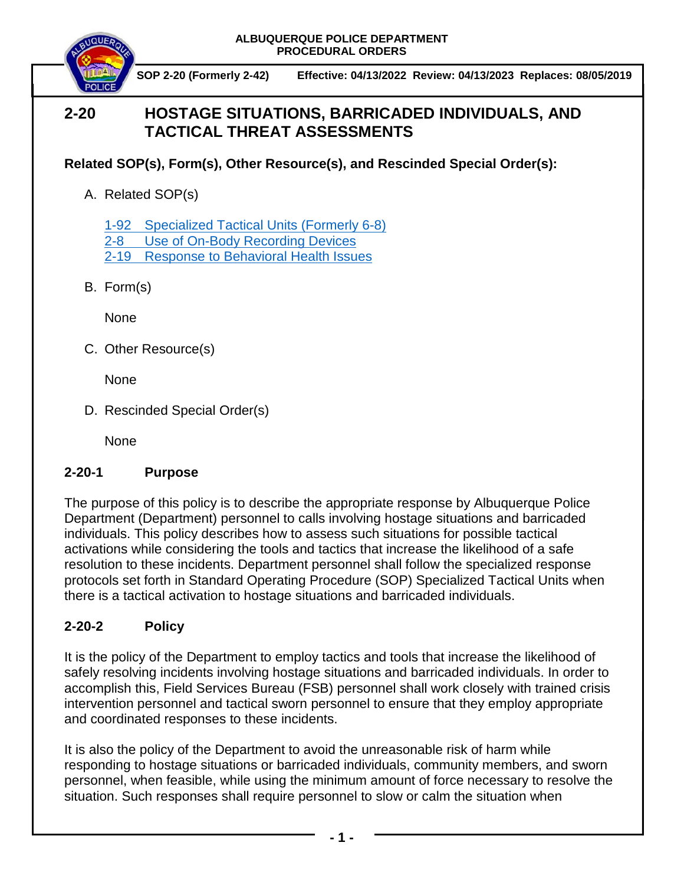

 **SOP 2-20 (Formerly 2-42) Effective: 04/13/2022 Review: 04/13/2023 Replaces: 08/05/2019**

## **2-20 HOSTAGE SITUATIONS, BARRICADED INDIVIDUALS, AND TACTICAL THREAT ASSESSMENTS**

## **Related SOP(s), Form(s), Other Resource(s), and Rescinded Special Order(s):**

A. Related SOP(s)

[1-92 Specialized Tactical Units \(Formerly 6-8\)](https://powerdms.com/docs/2067165?q=1-92) [2-8 Use of On-Body Recording Devices](https://powerdms.com/docs/1137?q=2-8)

[2-19 Response to Behavioral Health Issues](https://powerdms.com/docs/1192186?q=2-19)

B. Form(s)

None

C. Other Resource(s)

None

D. Rescinded Special Order(s)

None

## **2-20-1 Purpose**

The purpose of this policy is to describe the appropriate response by Albuquerque Police Department (Department) personnel to calls involving hostage situations and barricaded individuals. This policy describes how to assess such situations for possible tactical activations while considering the tools and tactics that increase the likelihood of a safe resolution to these incidents. Department personnel shall follow the specialized response protocols set forth in Standard Operating Procedure (SOP) Specialized Tactical Units when there is a tactical activation to hostage situations and barricaded individuals.

## **2-20-2 Policy**

It is the policy of the Department to employ tactics and tools that increase the likelihood of safely resolving incidents involving hostage situations and barricaded individuals. In order to accomplish this, Field Services Bureau (FSB) personnel shall work closely with trained crisis intervention personnel and tactical sworn personnel to ensure that they employ appropriate and coordinated responses to these incidents.

It is also the policy of the Department to avoid the unreasonable risk of harm while responding to hostage situations or barricaded individuals, community members, and sworn personnel, when feasible, while using the minimum amount of force necessary to resolve the situation. Such responses shall require personnel to slow or calm the situation when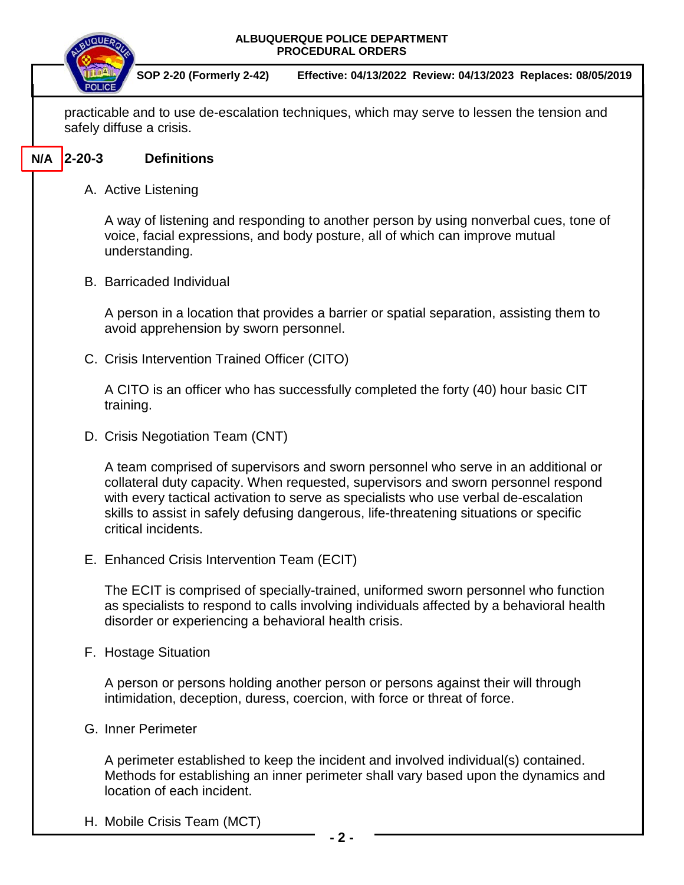| SOP 2-20 (Formerly 2-42)<br>Effective: 04/13/2022 Review: 04/13/2023 Replaces: 08/05/2019<br>practicable and to use de-escalation techniques, which may serve to lessen the tension and<br>safely diffuse a crisis.<br>$2 - 20 - 3$<br>N/A<br><b>Definitions</b><br>A. Active Listening<br>A way of listening and responding to another person by using nonverbal cues, tone of<br>voice, facial expressions, and body posture, all of which can improve mutual<br>understanding.<br><b>B.</b> Barricaded Individual<br>A person in a location that provides a barrier or spatial separation, assisting them to<br>avoid apprehension by sworn personnel.<br>C. Crisis Intervention Trained Officer (CITO)<br>A CITO is an officer who has successfully completed the forty (40) hour basic CIT<br>training.<br>D. Crisis Negotiation Team (CNT)<br>A team comprised of supervisors and sworn personnel who serve in an additional or<br>collateral duty capacity. When requested, supervisors and sworn personnel respond<br>with every tactical activation to serve as specialists who use verbal de-escalation<br>skills to assist in safely defusing dangerous, life-threatening situations or specific<br>critical incidents.<br>E. Enhanced Crisis Intervention Team (ECIT)<br>The ECIT is comprised of specially-trained, uniformed sworn personnel who function<br>as specialists to respond to calls involving individuals affected by a behavioral health<br>disorder or experiencing a behavioral health crisis. |
|-----------------------------------------------------------------------------------------------------------------------------------------------------------------------------------------------------------------------------------------------------------------------------------------------------------------------------------------------------------------------------------------------------------------------------------------------------------------------------------------------------------------------------------------------------------------------------------------------------------------------------------------------------------------------------------------------------------------------------------------------------------------------------------------------------------------------------------------------------------------------------------------------------------------------------------------------------------------------------------------------------------------------------------------------------------------------------------------------------------------------------------------------------------------------------------------------------------------------------------------------------------------------------------------------------------------------------------------------------------------------------------------------------------------------------------------------------------------------------------------------------------------------------|
|                                                                                                                                                                                                                                                                                                                                                                                                                                                                                                                                                                                                                                                                                                                                                                                                                                                                                                                                                                                                                                                                                                                                                                                                                                                                                                                                                                                                                                                                                                                             |
|                                                                                                                                                                                                                                                                                                                                                                                                                                                                                                                                                                                                                                                                                                                                                                                                                                                                                                                                                                                                                                                                                                                                                                                                                                                                                                                                                                                                                                                                                                                             |
|                                                                                                                                                                                                                                                                                                                                                                                                                                                                                                                                                                                                                                                                                                                                                                                                                                                                                                                                                                                                                                                                                                                                                                                                                                                                                                                                                                                                                                                                                                                             |
|                                                                                                                                                                                                                                                                                                                                                                                                                                                                                                                                                                                                                                                                                                                                                                                                                                                                                                                                                                                                                                                                                                                                                                                                                                                                                                                                                                                                                                                                                                                             |
|                                                                                                                                                                                                                                                                                                                                                                                                                                                                                                                                                                                                                                                                                                                                                                                                                                                                                                                                                                                                                                                                                                                                                                                                                                                                                                                                                                                                                                                                                                                             |
|                                                                                                                                                                                                                                                                                                                                                                                                                                                                                                                                                                                                                                                                                                                                                                                                                                                                                                                                                                                                                                                                                                                                                                                                                                                                                                                                                                                                                                                                                                                             |
|                                                                                                                                                                                                                                                                                                                                                                                                                                                                                                                                                                                                                                                                                                                                                                                                                                                                                                                                                                                                                                                                                                                                                                                                                                                                                                                                                                                                                                                                                                                             |
|                                                                                                                                                                                                                                                                                                                                                                                                                                                                                                                                                                                                                                                                                                                                                                                                                                                                                                                                                                                                                                                                                                                                                                                                                                                                                                                                                                                                                                                                                                                             |
|                                                                                                                                                                                                                                                                                                                                                                                                                                                                                                                                                                                                                                                                                                                                                                                                                                                                                                                                                                                                                                                                                                                                                                                                                                                                                                                                                                                                                                                                                                                             |
|                                                                                                                                                                                                                                                                                                                                                                                                                                                                                                                                                                                                                                                                                                                                                                                                                                                                                                                                                                                                                                                                                                                                                                                                                                                                                                                                                                                                                                                                                                                             |
|                                                                                                                                                                                                                                                                                                                                                                                                                                                                                                                                                                                                                                                                                                                                                                                                                                                                                                                                                                                                                                                                                                                                                                                                                                                                                                                                                                                                                                                                                                                             |
|                                                                                                                                                                                                                                                                                                                                                                                                                                                                                                                                                                                                                                                                                                                                                                                                                                                                                                                                                                                                                                                                                                                                                                                                                                                                                                                                                                                                                                                                                                                             |
|                                                                                                                                                                                                                                                                                                                                                                                                                                                                                                                                                                                                                                                                                                                                                                                                                                                                                                                                                                                                                                                                                                                                                                                                                                                                                                                                                                                                                                                                                                                             |
| F. Hostage Situation                                                                                                                                                                                                                                                                                                                                                                                                                                                                                                                                                                                                                                                                                                                                                                                                                                                                                                                                                                                                                                                                                                                                                                                                                                                                                                                                                                                                                                                                                                        |
| A person or persons holding another person or persons against their will through<br>intimidation, deception, duress, coercion, with force or threat of force.                                                                                                                                                                                                                                                                                                                                                                                                                                                                                                                                                                                                                                                                                                                                                                                                                                                                                                                                                                                                                                                                                                                                                                                                                                                                                                                                                               |
| G. Inner Perimeter                                                                                                                                                                                                                                                                                                                                                                                                                                                                                                                                                                                                                                                                                                                                                                                                                                                                                                                                                                                                                                                                                                                                                                                                                                                                                                                                                                                                                                                                                                          |
| A perimeter established to keep the incident and involved individual(s) contained.<br>Methods for establishing an inner perimeter shall vary based upon the dynamics and<br>location of each incident.                                                                                                                                                                                                                                                                                                                                                                                                                                                                                                                                                                                                                                                                                                                                                                                                                                                                                                                                                                                                                                                                                                                                                                                                                                                                                                                      |
| H. Mobile Crisis Team (MCT)<br>- 2 -                                                                                                                                                                                                                                                                                                                                                                                                                                                                                                                                                                                                                                                                                                                                                                                                                                                                                                                                                                                                                                                                                                                                                                                                                                                                                                                                                                                                                                                                                        |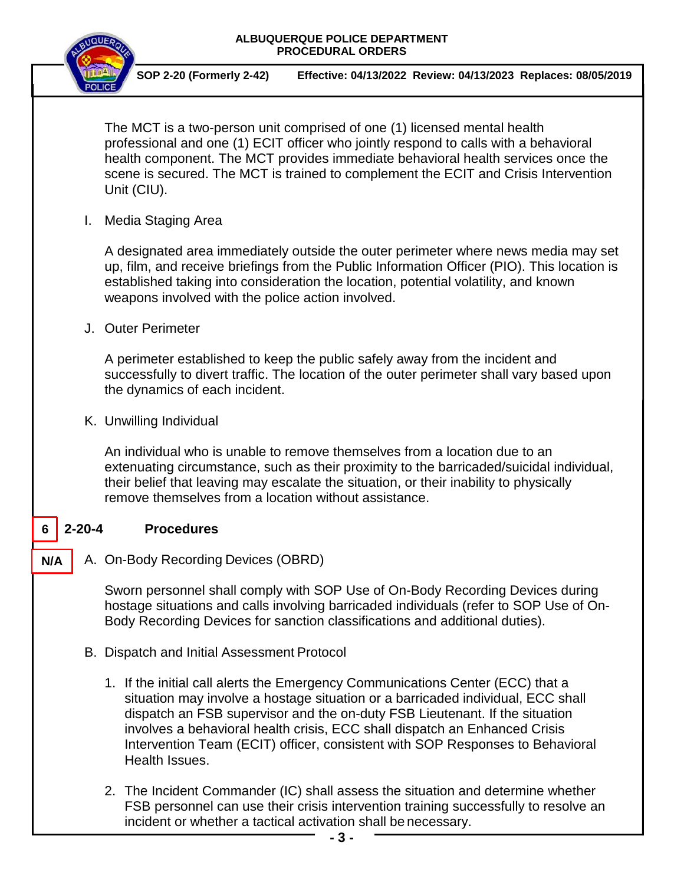

 **SOP 2-20 (Formerly 2-42) Effective: 04/13/2022 Review: 04/13/2023 Replaces: 08/05/2019**

The MCT is a two-person unit comprised of one (1) licensed mental health professional and one (1) ECIT officer who jointly respond to calls with a behavioral health component. The MCT provides immediate behavioral health services once the scene is secured. The MCT is trained to complement the ECIT and Crisis Intervention Unit (CIU).

I. Media Staging Area

A designated area immediately outside the outer perimeter where news media may set up, film, and receive briefings from the Public Information Officer (PIO). This location is established taking into consideration the location, potential volatility, and known weapons involved with the police action involved.

J. Outer Perimeter

A perimeter established to keep the public safely away from the incident and successfully to divert traffic. The location of the outer perimeter shall vary based upon the dynamics of each incident.

K. Unwilling Individual

An individual who is unable to remove themselves from a location due to an extenuating circumstance, such as their proximity to the barricaded/suicidal individual, their belief that leaving may escalate the situation, or their inability to physically remove themselves from a location without assistance.

#### **2-20-4 Procedures 6**

A. On-Body Recording Devices (OBRD) **N/A**

> Sworn personnel shall comply with SOP Use of On-Body Recording Devices during hostage situations and calls involving barricaded individuals (refer to SOP Use of On-Body Recording Devices for sanction classifications and additional duties).

- B. Dispatch and Initial Assessment Protocol
	- 1. If the initial call alerts the Emergency Communications Center (ECC) that a situation may involve a hostage situation or a barricaded individual, ECC shall dispatch an FSB supervisor and the on-duty FSB Lieutenant. If the situation involves a behavioral health crisis, ECC shall dispatch an Enhanced Crisis Intervention Team (ECIT) officer, consistent with SOP Responses to Behavioral Health Issues.
	- 2. The Incident Commander (IC) shall assess the situation and determine whether FSB personnel can use their crisis intervention training successfully to resolve an incident or whether a tactical activation shall be necessary.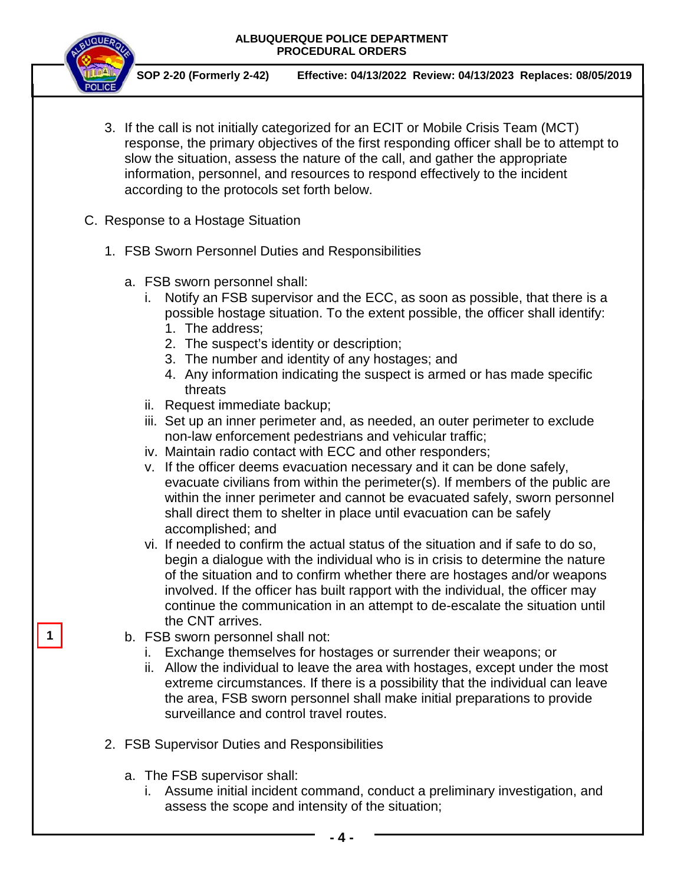

 **SOP 2-20 (Formerly 2-42) Effective: 04/13/2022 Review: 04/13/2023 Replaces: 08/05/2019**

- 3. If the call is not initially categorized for an ECIT or Mobile Crisis Team (MCT) response, the primary objectives of the first responding officer shall be to attempt to slow the situation, assess the nature of the call, and gather the appropriate information, personnel, and resources to respond effectively to the incident according to the protocols set forth below.
- C. Response to a Hostage Situation
	- 1. FSB Sworn Personnel Duties and Responsibilities
		- a. FSB sworn personnel shall:
			- i. Notify an FSB supervisor and the ECC, as soon as possible, that there is a possible hostage situation. To the extent possible, the officer shall identify: 1. The address;
				- 2. The suspect's identity or description;
				- 3. The number and identity of any hostages; and
				- 4. Any information indicating the suspect is armed or has made specific threats
			- ii. Request immediate backup;
			- iii. Set up an inner perimeter and, as needed, an outer perimeter to exclude non-law enforcement pedestrians and vehicular traffic;
			- iv. Maintain radio contact with ECC and other responders;
			- v. If the officer deems evacuation necessary and it can be done safely, evacuate civilians from within the perimeter(s). If members of the public are within the inner perimeter and cannot be evacuated safely, sworn personnel shall direct them to shelter in place until evacuation can be safely accomplished; and
			- vi. If needed to confirm the actual status of the situation and if safe to do so, begin a dialogue with the individual who is in crisis to determine the nature of the situation and to confirm whether there are hostages and/or weapons involved. If the officer has built rapport with the individual, the officer may continue the communication in an attempt to de-escalate the situation until the CNT arrives.
		- b. FSB sworn personnel shall not:
			- i. Exchange themselves for hostages or surrender their weapons; or
			- ii. Allow the individual to leave the area with hostages, except under the most extreme circumstances. If there is a possibility that the individual can leave the area, FSB sworn personnel shall make initial preparations to provide surveillance and control travel routes.
	- 2. FSB Supervisor Duties and Responsibilities
		- a. The FSB supervisor shall:
			- i. Assume initial incident command, conduct a preliminary investigation, and assess the scope and intensity of the situation;

**1**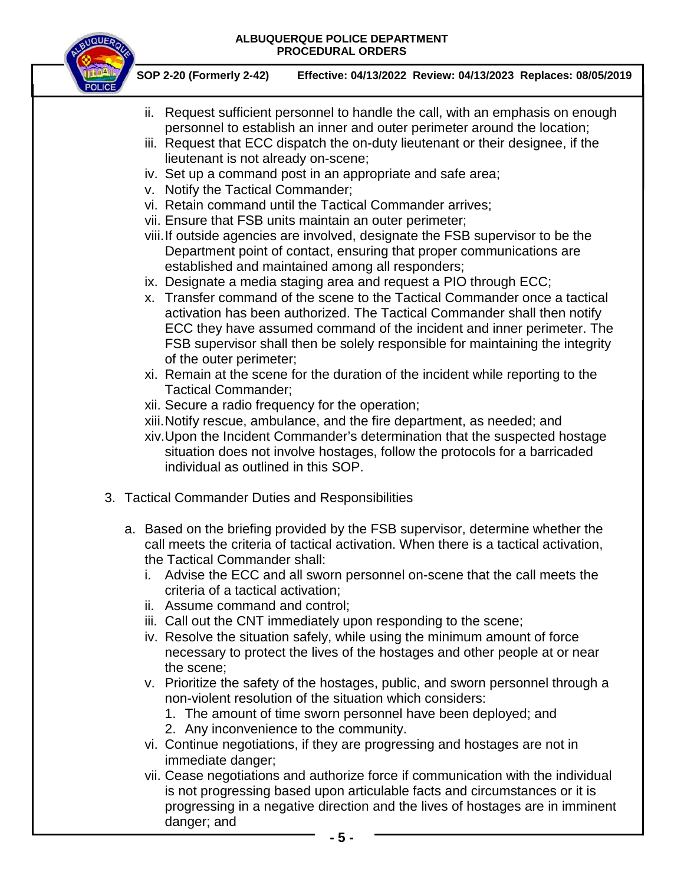

 **SOP 2-20 (Formerly 2-42) Effective: 04/13/2022 Review: 04/13/2023 Replaces: 08/05/2019**

- ii. Request sufficient personnel to handle the call, with an emphasis on enough personnel to establish an inner and outer perimeter around the location;
- iii. Request that ECC dispatch the on-duty lieutenant or their designee, if the lieutenant is not already on-scene;
- iv. Set up a command post in an appropriate and safe area;
- v. Notify the Tactical Commander;
- vi. Retain command until the Tactical Commander arrives;
- vii. Ensure that FSB units maintain an outer perimeter;
- viii.If outside agencies are involved, designate the FSB supervisor to be the Department point of contact, ensuring that proper communications are established and maintained among all responders;
- ix. Designate a media staging area and request a PIO through ECC;
- x. Transfer command of the scene to the Tactical Commander once a tactical activation has been authorized. The Tactical Commander shall then notify ECC they have assumed command of the incident and inner perimeter. The FSB supervisor shall then be solely responsible for maintaining the integrity of the outer perimeter;
- xi. Remain at the scene for the duration of the incident while reporting to the Tactical Commander;
- xii. Secure a radio frequency for the operation;
- xiii.Notify rescue, ambulance, and the fire department, as needed; and
- xiv.Upon the Incident Commander's determination that the suspected hostage situation does not involve hostages, follow the protocols for a barricaded individual as outlined in this SOP.
- 3. Tactical Commander Duties and Responsibilities
	- a. Based on the briefing provided by the FSB supervisor, determine whether the call meets the criteria of tactical activation. When there is a tactical activation, the Tactical Commander shall:
		- i. Advise the ECC and all sworn personnel on-scene that the call meets the criteria of a tactical activation;
		- ii. Assume command and control;
		- iii. Call out the CNT immediately upon responding to the scene;
		- iv. Resolve the situation safely, while using the minimum amount of force necessary to protect the lives of the hostages and other people at or near the scene;
		- v. Prioritize the safety of the hostages, public, and sworn personnel through a non-violent resolution of the situation which considers:
			- 1. The amount of time sworn personnel have been deployed; and
			- 2. Any inconvenience to the community.
		- vi. Continue negotiations, if they are progressing and hostages are not in immediate danger;
		- vii. Cease negotiations and authorize force if communication with the individual is not progressing based upon articulable facts and circumstances or it is progressing in a negative direction and the lives of hostages are in imminent danger; and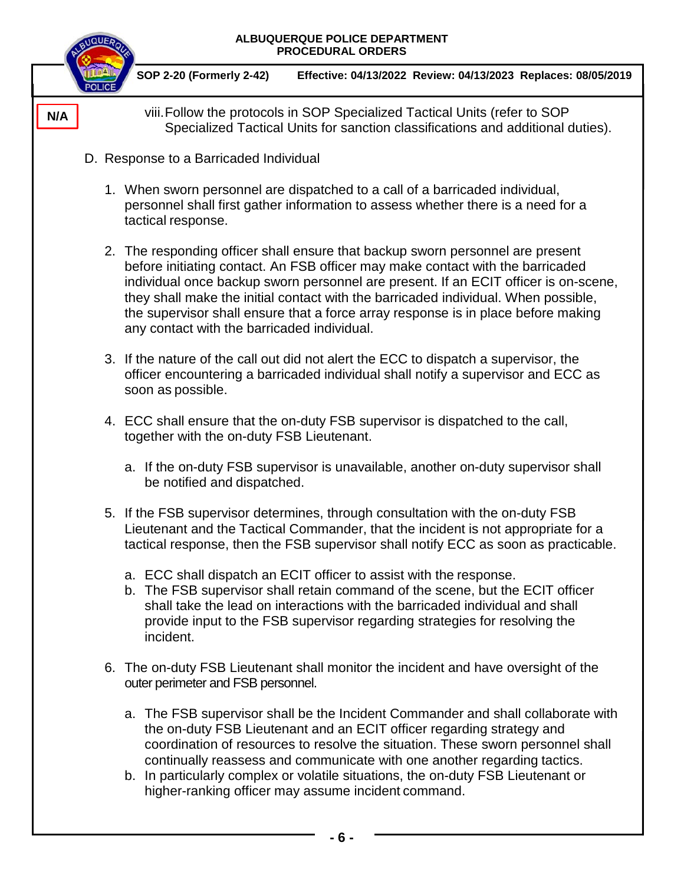| ALBUQUERQUE POLICE DEPARTMENT<br>PROCEDURAL ORDERS |                                                                                                                                                                                                                                                                                                                                                                                                                                                                                   |
|----------------------------------------------------|-----------------------------------------------------------------------------------------------------------------------------------------------------------------------------------------------------------------------------------------------------------------------------------------------------------------------------------------------------------------------------------------------------------------------------------------------------------------------------------|
|                                                    | SOP 2-20 (Formerly 2-42)<br>Effective: 04/13/2022 Review: 04/13/2023 Replaces: 08/05/2019                                                                                                                                                                                                                                                                                                                                                                                         |
| N/A                                                | viii. Follow the protocols in SOP Specialized Tactical Units (refer to SOP<br>Specialized Tactical Units for sanction classifications and additional duties).                                                                                                                                                                                                                                                                                                                     |
|                                                    | D. Response to a Barricaded Individual                                                                                                                                                                                                                                                                                                                                                                                                                                            |
|                                                    | 1. When sworn personnel are dispatched to a call of a barricaded individual,<br>personnel shall first gather information to assess whether there is a need for a<br>tactical response.                                                                                                                                                                                                                                                                                            |
|                                                    | 2. The responding officer shall ensure that backup sworn personnel are present<br>before initiating contact. An FSB officer may make contact with the barricaded<br>individual once backup sworn personnel are present. If an ECIT officer is on-scene,<br>they shall make the initial contact with the barricaded individual. When possible,<br>the supervisor shall ensure that a force array response is in place before making<br>any contact with the barricaded individual. |
|                                                    | 3. If the nature of the call out did not alert the ECC to dispatch a supervisor, the<br>officer encountering a barricaded individual shall notify a supervisor and ECC as<br>soon as possible.                                                                                                                                                                                                                                                                                    |
|                                                    | 4. ECC shall ensure that the on-duty FSB supervisor is dispatched to the call,<br>together with the on-duty FSB Lieutenant.                                                                                                                                                                                                                                                                                                                                                       |
|                                                    | a. If the on-duty FSB supervisor is unavailable, another on-duty supervisor shall<br>be notified and dispatched.                                                                                                                                                                                                                                                                                                                                                                  |
|                                                    | 5. If the FSB supervisor determines, through consultation with the on-duty FSB<br>Lieutenant and the Tactical Commander, that the incident is not appropriate for a<br>tactical response, then the FSB supervisor shall notify ECC as soon as practicable.                                                                                                                                                                                                                        |
|                                                    | a. ECC shall dispatch an ECIT officer to assist with the response.<br>b. The FSB supervisor shall retain command of the scene, but the ECIT officer<br>shall take the lead on interactions with the barricaded individual and shall<br>provide input to the FSB supervisor regarding strategies for resolving the<br>incident.                                                                                                                                                    |
|                                                    | 6. The on-duty FSB Lieutenant shall monitor the incident and have oversight of the<br>outer perimeter and FSB personnel.                                                                                                                                                                                                                                                                                                                                                          |
|                                                    | a. The FSB supervisor shall be the Incident Commander and shall collaborate with<br>the on-duty FSB Lieutenant and an ECIT officer regarding strategy and<br>coordination of resources to resolve the situation. These sworn personnel shall<br>continually reassess and communicate with one another regarding tactics.<br>b. In particularly complex or volatile situations, the on-duty FSB Lieutenant or<br>higher-ranking officer may assume incident command.               |
|                                                    |                                                                                                                                                                                                                                                                                                                                                                                                                                                                                   |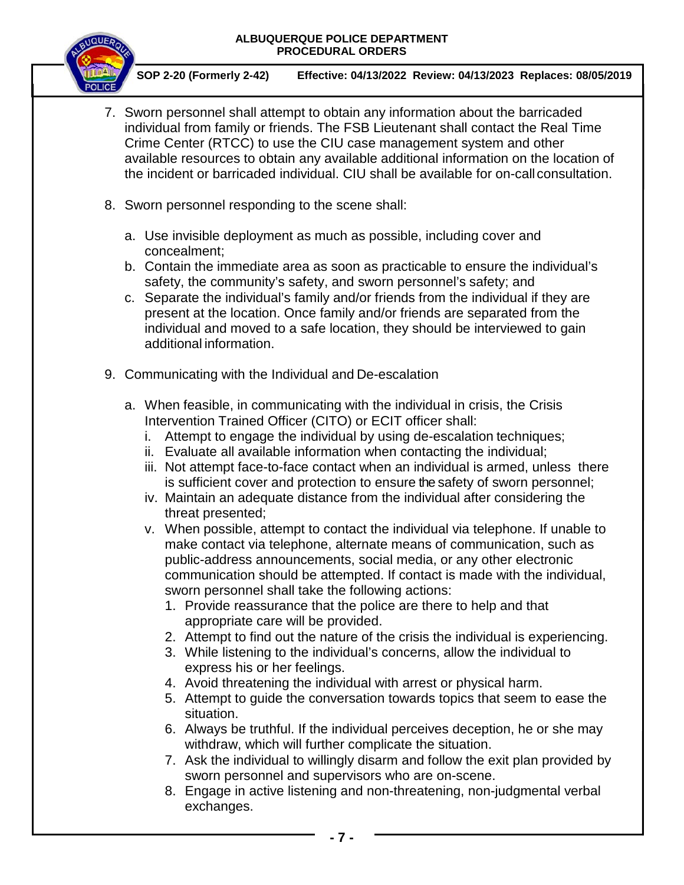

 **SOP 2-20 (Formerly 2-42) Effective: 04/13/2022 Review: 04/13/2023 Replaces: 08/05/2019**

- 7. Sworn personnel shall attempt to obtain any information about the barricaded individual from family or friends. The FSB Lieutenant shall contact the Real Time Crime Center (RTCC) to use the CIU case management system and other available resources to obtain any available additional information on the location of the incident or barricaded individual. CIU shall be available for on-call consultation.
- 8. Sworn personnel responding to the scene shall:
	- a. Use invisible deployment as much as possible, including cover and concealment;
	- b. Contain the immediate area as soon as practicable to ensure the individual's safety, the community's safety, and sworn personnel's safety; and
	- c. Separate the individual's family and/or friends from the individual if they are present at the location. Once family and/or friends are separated from the individual and moved to a safe location, they should be interviewed to gain additional information.
- 9. Communicating with the Individual and De-escalation
	- a. When feasible, in communicating with the individual in crisis, the Crisis Intervention Trained Officer (CITO) or ECIT officer shall:
		- i. Attempt to engage the individual by using de-escalation techniques;
		- ii. Evaluate all available information when contacting the individual;
		- iii. Not attempt face-to-face contact when an individual is armed, unless there is sufficient cover and protection to ensure the safety of sworn personnel;
		- iv. Maintain an adequate distance from the individual after considering the threat presented;
		- v. When possible, attempt to contact the individual via telephone. If unable to make contact via telephone, alternate means of communication, such as public-address announcements, social media, or any other electronic communication should be attempted. If contact is made with the individual, sworn personnel shall take the following actions:
			- 1. Provide reassurance that the police are there to help and that appropriate care will be provided.
			- 2. Attempt to find out the nature of the crisis the individual is experiencing.
			- 3. While listening to the individual's concerns, allow the individual to express his or her feelings.
			- 4. Avoid threatening the individual with arrest or physical harm.
			- 5. Attempt to guide the conversation towards topics that seem to ease the situation.
			- 6. Always be truthful. If the individual perceives deception, he or she may withdraw, which will further complicate the situation.
			- 7. Ask the individual to willingly disarm and follow the exit plan provided by sworn personnel and supervisors who are on-scene.
			- 8. Engage in active listening and non-threatening, non-judgmental verbal exchanges.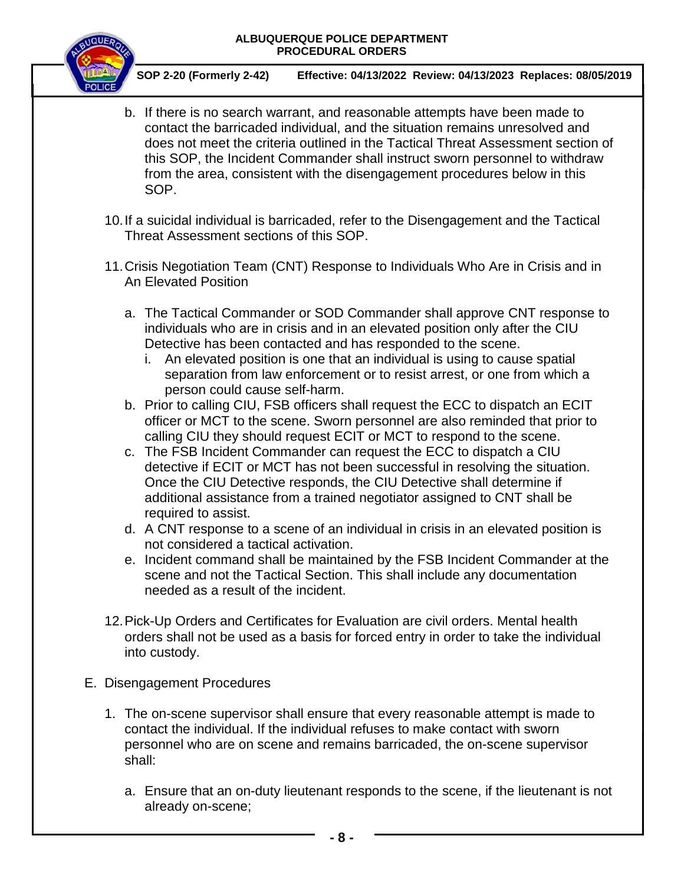

 **SOP 2-20 (Formerly 2-42) Effective: 04/13/2022 Review: 04/13/2023 Replaces: 08/05/2019**

b. If there is no search warrant, and reasonable attempts have been made to contact the barricaded individual, and the situation remains unresolved and does not meet the criteria outlined in the Tactical Threat Assessment section of this SOP, the Incident Commander shall instruct sworn personnel to withdraw from the area, consistent with the disengagement procedures below in this SOP.

10.If a suicidal individual is barricaded, refer to the Disengagement and the Tactical Threat Assessment sections of this SOP.

- 11.Crisis Negotiation Team (CNT) Response to Individuals Who Are in Crisis and in An Elevated Position
	- a. The Tactical Commander or SOD Commander shall approve CNT response to individuals who are in crisis and in an elevated position only after the CIU Detective has been contacted and has responded to the scene.
		- i. An elevated position is one that an individual is using to cause spatial separation from law enforcement or to resist arrest, or one from which a person could cause self-harm.
	- b. Prior to calling CIU, FSB officers shall request the ECC to dispatch an ECIT officer or MCT to the scene. Sworn personnel are also reminded that prior to calling CIU they should request ECIT or MCT to respond to the scene.
	- c. The FSB Incident Commander can request the ECC to dispatch a CIU detective if ECIT or MCT has not been successful in resolving the situation. Once the CIU Detective responds, the CIU Detective shall determine if additional assistance from a trained negotiator assigned to CNT shall be required to assist.
	- d. A CNT response to a scene of an individual in crisis in an elevated position is not considered a tactical activation.
	- e. Incident command shall be maintained by the FSB Incident Commander at the scene and not the Tactical Section. This shall include any documentation needed as a result of the incident.
- 12.Pick-Up Orders and Certificates for Evaluation are civil orders. Mental health orders shall not be used as a basis for forced entry in order to take the individual into custody.
- E. Disengagement Procedures
	- 1. The on-scene supervisor shall ensure that every reasonable attempt is made to contact the individual. If the individual refuses to make contact with sworn personnel who are on scene and remains barricaded, the on-scene supervisor shall:
		- a. Ensure that an on-duty lieutenant responds to the scene, if the lieutenant is not already on-scene;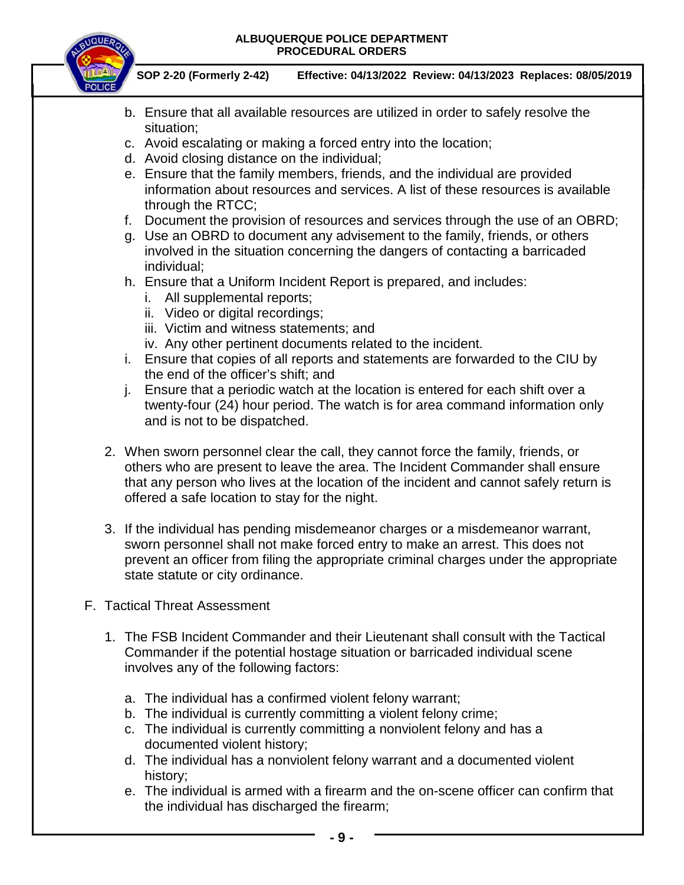

 **SOP 2-20 (Formerly 2-42) Effective: 04/13/2022 Review: 04/13/2023 Replaces: 08/05/2019**

- b. Ensure that all available resources are utilized in order to safely resolve the situation;
- c. Avoid escalating or making a forced entry into the location;
- d. Avoid closing distance on the individual;
- e. Ensure that the family members, friends, and the individual are provided information about resources and services. A list of these resources is available through the RTCC;
- f. Document the provision of resources and services through the use of an OBRD;
- g. Use an OBRD to document any advisement to the family, friends, or others involved in the situation concerning the dangers of contacting a barricaded individual;
- h. Ensure that a Uniform Incident Report is prepared, and includes:
	- i. All supplemental reports;
	- ii. Video or digital recordings;
	- iii. Victim and witness statements; and
	- iv. Any other pertinent documents related to the incident.
- i. Ensure that copies of all reports and statements are forwarded to the CIU by the end of the officer's shift; and
- j. Ensure that a periodic watch at the location is entered for each shift over a twenty-four (24) hour period. The watch is for area command information only and is not to be dispatched.
- 2. When sworn personnel clear the call, they cannot force the family, friends, or others who are present to leave the area. The Incident Commander shall ensure that any person who lives at the location of the incident and cannot safely return is offered a safe location to stay for the night.
- 3. If the individual has pending misdemeanor charges or a misdemeanor warrant, sworn personnel shall not make forced entry to make an arrest. This does not prevent an officer from filing the appropriate criminal charges under the appropriate state statute or city ordinance.
- F. Tactical Threat Assessment
	- 1. The FSB Incident Commander and their Lieutenant shall consult with the Tactical Commander if the potential hostage situation or barricaded individual scene involves any of the following factors:
		- a. The individual has a confirmed violent felony warrant;
		- b. The individual is currently committing a violent felony crime;
		- c. The individual is currently committing a nonviolent felony and has a documented violent history;
		- d. The individual has a nonviolent felony warrant and a documented violent history;
		- e. The individual is armed with a firearm and the on-scene officer can confirm that the individual has discharged the firearm;